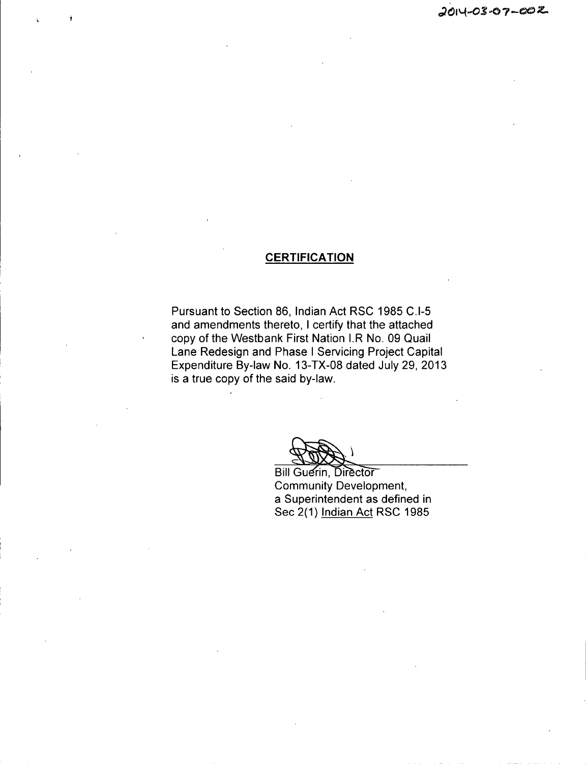# **CERTIFICATION**

Pursuant to Section 86, Indian Act RSC 1985 C.I-5 and amendments thereto, I certify that the attached copy of the Westbank First Nation I.R No. 09 Quail Lane Redesign and Phase <sup>1</sup> Servicing Project Capital Expenditure By -law No. 13 -TX -08 dated July 29, 2013 is a true copy of the said by-law.

Bill Guerin, Director Community Development, a Superintendent as defined in Sec 2(1) Indian Act RSC 1985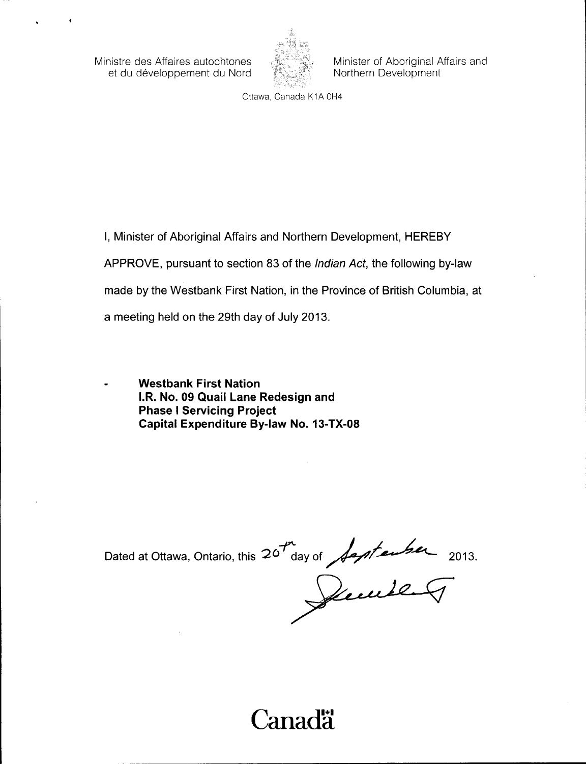Ministre des Affaires autochtones et du developpement du Nord



Minister of Aboriginal Affairs and Northern Development

Ottawa, Canada K1A 0H4

I, Minister of Aboriginal Affairs and Northern Development, HEREBY

APPROVE, pursuant to section 83 of the *Indian Act*, the following by-law

made by the Westbank First Nation, in the Province of British Columbia, at

a meeting held on the 29th day of July 2013.

Westbank First Nation I.R. No. 09 Quail Lane Redesign and Phase <sup>I</sup> Servicing Project Capital Expenditure By-law No. 13-TX-08

Dated at Ottawa, Ontario, this  $20^{14}$  day of  $\sqrt{2}$  denote 2013.

Canadä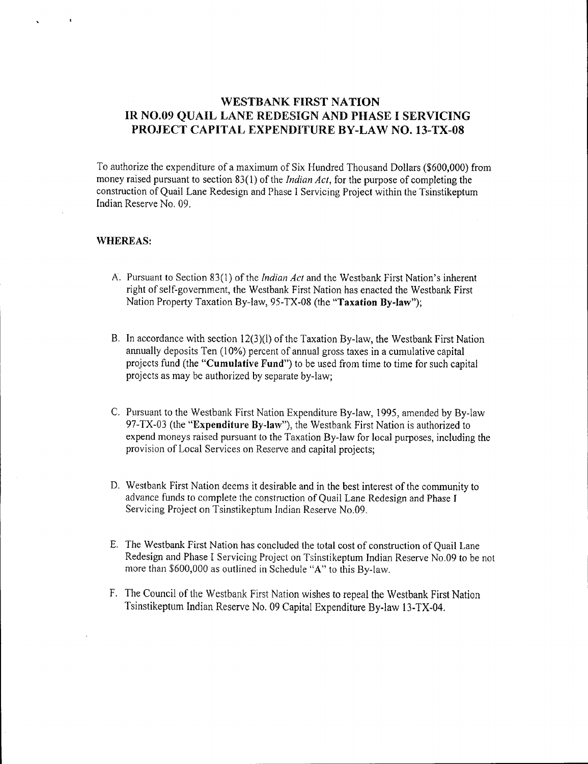# WESTBANK FIRST NATION IR NO.09 QUAIL LANE REDESIGN AND PHASE I SERVICING PROJECT CAPITAL EXPENDITURE BY-LAW NO. 13-TX-08

To authorize the expenditure of <sup>a</sup> maximum of Six Hundred Thousand Dollars (\$600, 000) from money raised pursuant to section 83(1) of the *Indian Act*, for the purpose of completing the construction of Quail Lane Redesign and Phase <sup>1</sup> Servicing Project within the Tsinstikeptum Indian Reserve No. 09.

#### WHEREAS:

- A. Pursuant to Section 83(1) of the *Indian Act* and the Westbank First Nation's inherent right of self-government, the Westbank First Nation has enacted the Westbank First Nation Property Taxation By-law, 95-TX-08 (the "Taxation By-law");
- B. In accordance with section  $12(3)(1)$  of the Taxation By-law, the Westbank First Nation annually deposits Ten (10%) percent of annual gross taxes in a cumulative capital projects fund (the "Cumulative Fund") to be used from time to time for such capital projects as may be authorized by separate by -law;
- C. Pursuant to the Westbank First Nation Expenditure By -law, 1995, amended by By -law 97-TX-03 (the "Expenditure By-law"), the Westbank First Nation is authorized to expend moneys raised pursuant to the Taxation By -law for local purposes, including the provision of Local Services on Reserve and capital projects;
- D. Westbank First Nation deems it desirable and in the best interest of the community to advance funds to complete the construction of Quail Lane Redesign and Phase I Servicing Project on Tsinstikeptum Indian Reserve No.09.
- E. The Westbank First Nation has concluded the total cost of construction of Quail Lane Redesign and Phase I Servicing Project on Tsinstikeptum Indian Reserve No.09 to be not more than \$600,000 as outlined in Schedule "A" to this By-law.
- F. The Council of the Westbank First Nation wishes to repeal the Westbank First Nation Tsinstikeptum Indian Reserve No. 09 Capital Expenditure By-law 13-TX-04.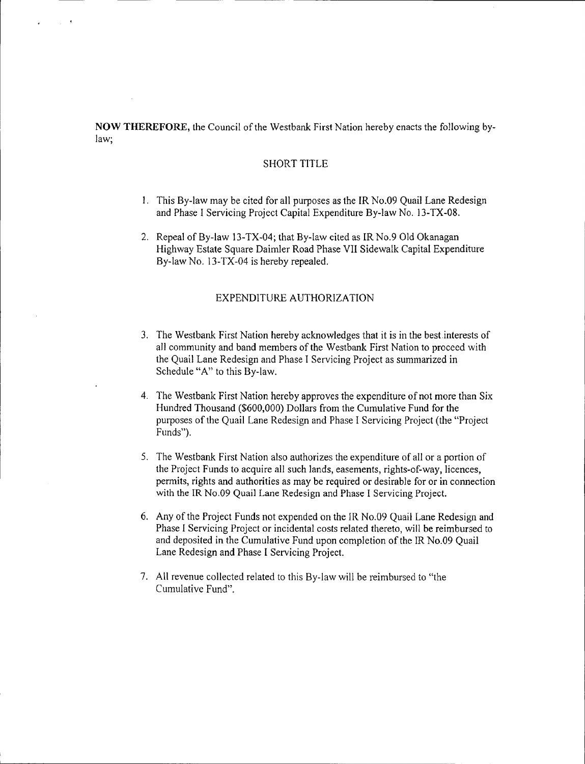NOW THEREFORE, the Council of the Westbank First Nation hereby enacts the following bylaw;

#### SHORT TITLE

- 1. This By -law may be cited for all purposes as the IR No.09 Quail Lane Redesign and Phase I Servicing Project Capital Expenditure By-law No. 13-TX-08.
- 2. Repeal of By-law 13-TX-04; that By-law cited as IR No.9 Old Okanagan Highway Estate Square Daimler Road Phase VII Sidewalk Capital Expenditure By-law No. 13-TX-04 is hereby repealed.

### EXPENDITURE AUTHORIZATION

- 3. The Westbank First Nation hereby acknowledges that it is in the best interests of all community and band members of the Westbank First Nation to proceed with the Quail Lane Redesign and Phase I Servicing Project as summarized in Schedule "A" to this By-law.
- 4. The Westbank First Nation hereby approves the expenditure of not more than Six Hundred Thousand (\$600,000) Dollars from the Cumulative Fund for the purposes of the Quail Lane Redesign and Phase I Servicing Project ( the " Project Funds").
- 5. The Westbank First Nation also authorizes the expenditure of all or <sup>a</sup> portion of the Project Funds to acquire all such lands, easements, rights -of -way, licences, permits, rights and authorities as may be required or desirable for or in connection with the IR No.09 Quail Lane Redesign and Phase I Servicing Project.
- 6. Any of the Project Funds not expended on the IR No.09 Quail Lane Redesign and Phase I Servicing Project or incidental costs related thereto, will be reimbursed to and deposited in the Cumulative Fund upon completion of the IR No.09 Quail Lane Redesign and Phase I Servicing Project.
- 7. All revenue collected related to this By -law will be reimbursed to " the Cumulative Fund".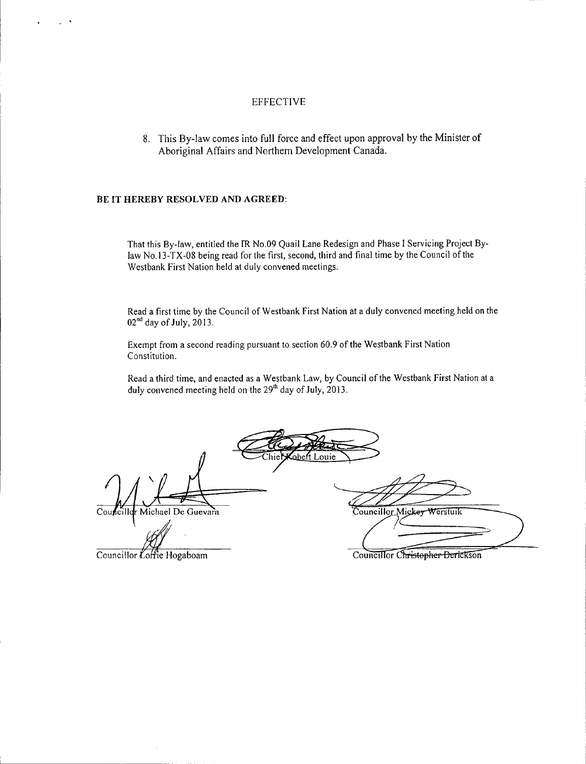### EFFECTIVE

8. This By -law comes into full force and effect upon approval by the Minister of Aboriginal Affairs and Northern Development Canada.

#### BE IT HEREBY RESOLVED AND AGREED:

That this By -law, entitled the IR No.09 Quail Lane Redesign and Phase I Servicing Project Bylaw No. 13 -TX -08 being read for the first, second, third and final time by the Council of the Westbank First Nation held at duly convened meetings.

Read a first time by the Council of Westbank First Nation at <sup>a</sup> duly convened meeting held on the  $02<sup>nd</sup>$  day of July, 2013.

Exempt from <sup>a</sup> second reading pursuant to section 60.9 of the Westbank First Nation Constitution.

Read <sup>a</sup> third time, and enacted as <sup>a</sup> Westbank Law, by Council of the Westbank First Nation at <sup>a</sup> duly convened meeting held on the  $29<sup>th</sup>$  day of July, 2013.

abert Louie

Councillor Michael De Guevara Councillor Mickey Werstuik

Councillor  $\mathcal{L}$  offic Hogaboam

Councillor Christopher Derickson